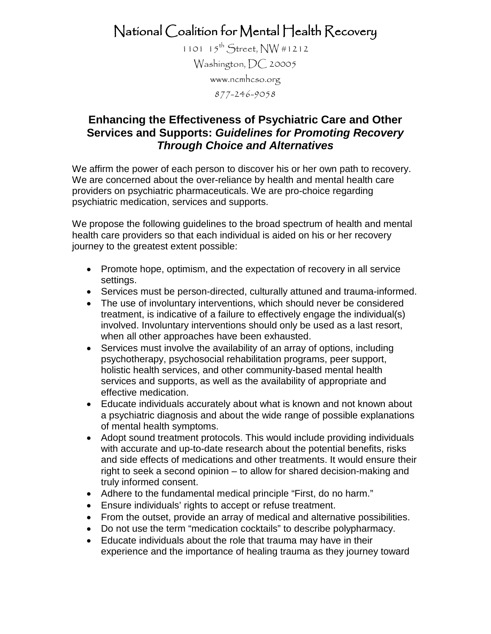National Coalition for Mental Health Recovery

1101  $15^{th}$  Street, NW #1212 Washington, DC 20005 [www.ncmhcso.org](http://www.ncmhcso.org/) 877-246-9058

## **Enhancing the Effectiveness of Psychiatric Care and Other Services and Supports:** *Guidelines for Promoting Recovery Through Choice and Alternatives*

We affirm the power of each person to discover his or her own path to recovery. We are concerned about the over-reliance by health and mental health care providers on psychiatric pharmaceuticals. We are pro-choice regarding psychiatric medication, services and supports.

We propose the following guidelines to the broad spectrum of health and mental health care providers so that each individual is aided on his or her recovery journey to the greatest extent possible:

- Promote hope, optimism, and the expectation of recovery in all service settings.
- Services must be person-directed, culturally attuned and trauma-informed.
- The use of involuntary interventions, which should never be considered treatment, is indicative of a failure to effectively engage the individual(s) involved. Involuntary interventions should only be used as a last resort, when all other approaches have been exhausted.
- Services must involve the availability of an array of options, including psychotherapy, psychosocial rehabilitation programs, peer support, holistic health services, and other community-based mental health services and supports, as well as the availability of appropriate and effective medication.
- Educate individuals accurately about what is known and not known about a psychiatric diagnosis and about the wide range of possible explanations of mental health symptoms.
- Adopt sound treatment protocols. This would include providing individuals with accurate and up-to-date research about the potential benefits, risks and side effects of medications and other treatments. It would ensure their right to seek a second opinion – to allow for shared decision-making and truly informed consent.
- Adhere to the fundamental medical principle "First, do no harm."
- Ensure individuals' rights to accept or refuse treatment.
- From the outset, provide an array of medical and alternative possibilities.
- Do not use the term "medication cocktails" to describe polypharmacy.
- Educate individuals about the role that trauma may have in their experience and the importance of healing trauma as they journey toward